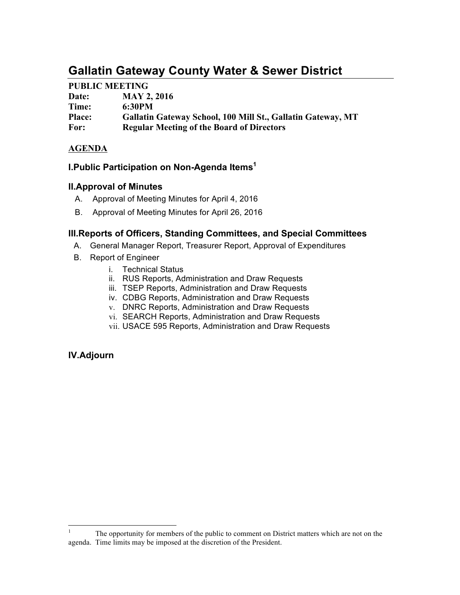# **Gallatin Gateway County Water & Sewer District**

## **PUBLIC MEETING**

| Date:         | <b>MAY 2, 2016</b>                                          |
|---------------|-------------------------------------------------------------|
| Time:         | 6:30PM                                                      |
| <b>Place:</b> | Gallatin Gateway School, 100 Mill St., Gallatin Gateway, MT |
| For:          | <b>Regular Meeting of the Board of Directors</b>            |

### **AGENDA**

## **I.Public Participation on Non-Agenda Items1**

### **II.Approval of Minutes**

- A. Approval of Meeting Minutes for April 4, 2016
- B. Approval of Meeting Minutes for April 26, 2016

### **III.Reports of Officers, Standing Committees, and Special Committees**

- A. General Manager Report, Treasurer Report, Approval of Expenditures
- B. Report of Engineer
	- i. Technical Status
	- ii. RUS Reports, Administration and Draw Requests
	- iii. TSEP Reports, Administration and Draw Requests
	- iv. CDBG Reports, Administration and Draw Requests
	- v. DNRC Reports, Administration and Draw Requests
	- vi. SEARCH Reports, Administration and Draw Requests
	- vii. USACE 595 Reports, Administration and Draw Requests

## **IV.Adjourn**

 $1$  The opportunity for members of the public to comment on District matters which are not on the agenda. Time limits may be imposed at the discretion of the President.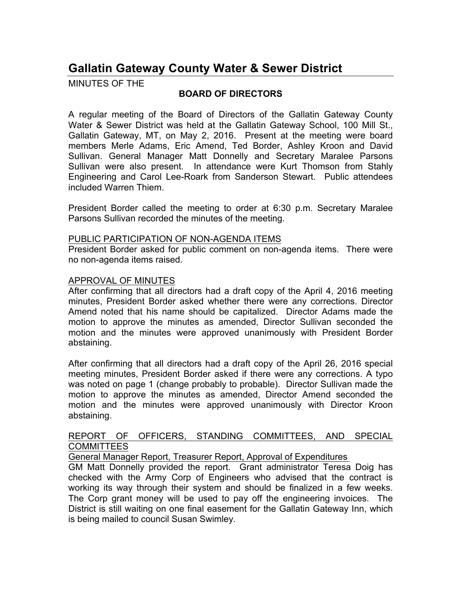## **Gallatin Gateway County Water & Sewer District**

MINUTES OF THE

## **BOARD OF DIRECTORS**

A regular meeting of the Board of Directors of the Gallatin Gateway County Water & Sewer District was held at the Gallatin Gateway School, 100 Mill St., Gallatin Gateway, MT, on May 2, 2016. Present at the meeting were board members Merle Adams, Eric Amend, Ted Border, Ashley Kroon and David Sullivan. General Manager Matt Donnelly and Secretary Maralee Parsons Sullivan were also present. In attendance were Kurt Thomson from Stahly Engineering and Carol Lee-Roark from Sanderson Stewart. Public attendees included Warren Thiem.

President Border called the meeting to order at 6:30 p.m. Secretary Maralee Parsons Sullivan recorded the minutes of the meeting.

#### PUBLIC PARTICIPATION OF NON-AGENDA ITEMS

President Border asked for public comment on non-agenda items. There were no non-agenda items raised.

### APPROVAL OF MINUTES

After confirming that all directors had a draft copy of the April 4, 2016 meeting minutes, President Border asked whether there were any corrections. Director Amend noted that his name should be capitalized. Director Adams made the motion to approve the minutes as amended, Director Sullivan seconded the motion and the minutes were approved unanimously with President Border abstaining.

After confirming that all directors had a draft copy of the April 26, 2016 special meeting minutes, President Border asked if there were any corrections. A typo was noted on page 1 (change probably to probable). Director Sullivan made the motion to approve the minutes as amended, Director Amend seconded the motion and the minutes were approved unanimously with Director Kroon abstaining.

### REPORT OF OFFICERS, STANDING COMMITTEES, AND SPECIAL COMMITTEES

General Manager Report, Treasurer Report, Approval of Expenditures

GM Matt Donnelly provided the report. Grant administrator Teresa Doig has checked with the Army Corp of Engineers who advised that the contract is working its way through their system and should be finalized in a few weeks. The Corp grant money will be used to pay off the engineering invoices. The District is still waiting on one final easement for the Gallatin Gateway Inn, which is being mailed to council Susan Swimley.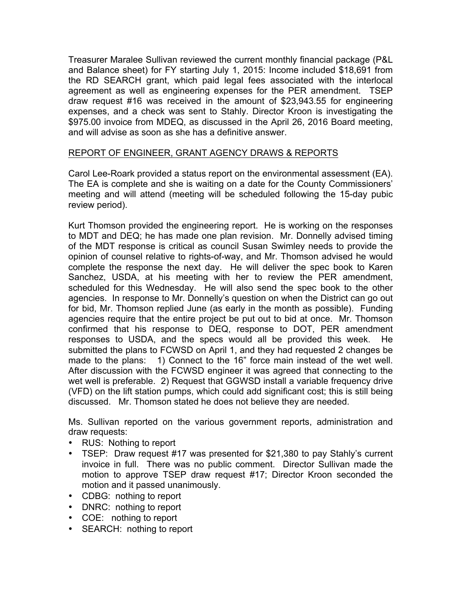Treasurer Maralee Sullivan reviewed the current monthly financial package (P&L and Balance sheet) for FY starting July 1, 2015: Income included \$18,691 from the RD SEARCH grant, which paid legal fees associated with the interlocal agreement as well as engineering expenses for the PER amendment. TSEP draw request #16 was received in the amount of \$23,943.55 for engineering expenses, and a check was sent to Stahly. Director Kroon is investigating the \$975.00 invoice from MDEQ, as discussed in the April 26, 2016 Board meeting, and will advise as soon as she has a definitive answer.

### REPORT OF ENGINEER, GRANT AGENCY DRAWS & REPORTS

Carol Lee-Roark provided a status report on the environmental assessment (EA). The EA is complete and she is waiting on a date for the County Commissioners' meeting and will attend (meeting will be scheduled following the 15-day pubic review period).

Kurt Thomson provided the engineering report. He is working on the responses to MDT and DEQ; he has made one plan revision. Mr. Donnelly advised timing of the MDT response is critical as council Susan Swimley needs to provide the opinion of counsel relative to rights-of-way, and Mr. Thomson advised he would complete the response the next day. He will deliver the spec book to Karen Sanchez, USDA, at his meeting with her to review the PER amendment, scheduled for this Wednesday. He will also send the spec book to the other agencies. In response to Mr. Donnelly's question on when the District can go out for bid, Mr. Thomson replied June (as early in the month as possible). Funding agencies require that the entire project be put out to bid at once. Mr. Thomson confirmed that his response to DEQ, response to DOT, PER amendment responses to USDA, and the specs would all be provided this week. He submitted the plans to FCWSD on April 1, and they had requested 2 changes be made to the plans: 1) Connect to the 16" force main instead of the wet well. After discussion with the FCWSD engineer it was agreed that connecting to the wet well is preferable. 2) Request that GGWSD install a variable frequency drive (VFD) on the lift station pumps, which could add significant cost; this is still being discussed. Mr. Thomson stated he does not believe they are needed.

Ms. Sullivan reported on the various government reports, administration and draw requests:

- RUS: Nothing to report
- TSEP: Draw request #17 was presented for \$21,380 to pay Stahly's current invoice in full. There was no public comment. Director Sullivan made the motion to approve TSEP draw request #17; Director Kroon seconded the motion and it passed unanimously.
- CDBG: nothing to report
- DNRC: nothing to report
- COE: nothing to report
- SEARCH: nothing to report